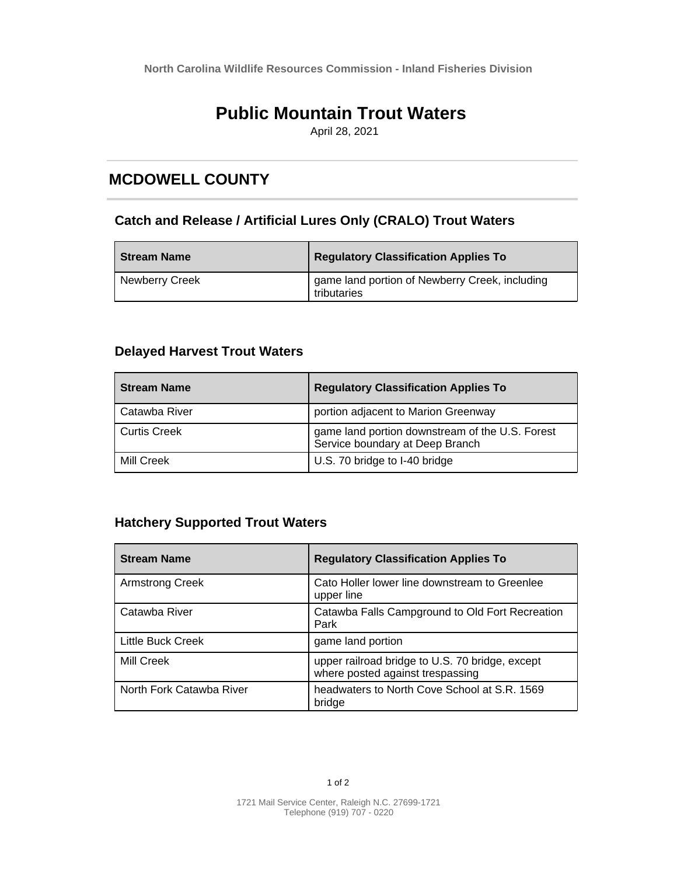**North Carolina Wildlife Resources Commission - Inland Fisheries Division**

# **Public Mountain Trout Waters**

April 28, 2021

## **MCDOWELL COUNTY**

#### **Catch and Release / Artificial Lures Only (CRALO) Trout Waters**

| <b>Stream Name</b>    | <b>Regulatory Classification Applies To</b>                   |
|-----------------------|---------------------------------------------------------------|
| <b>Newberry Creek</b> | game land portion of Newberry Creek, including<br>tributaries |

### **Delayed Harvest Trout Waters**

| <b>Stream Name</b>  | <b>Regulatory Classification Applies To</b>                                        |
|---------------------|------------------------------------------------------------------------------------|
| Catawba River       | portion adjacent to Marion Greenway                                                |
| <b>Curtis Creek</b> | game land portion downstream of the U.S. Forest<br>Service boundary at Deep Branch |
| Mill Creek          | U.S. 70 bridge to I-40 bridge                                                      |

### **Hatchery Supported Trout Waters**

| <b>Stream Name</b>       | <b>Regulatory Classification Applies To</b>                                         |
|--------------------------|-------------------------------------------------------------------------------------|
| Armstrong Creek          | Cato Holler lower line downstream to Greenlee<br>upper line                         |
| Catawba River            | Catawba Falls Campground to Old Fort Recreation<br>Park                             |
| Little Buck Creek        | game land portion                                                                   |
| Mill Creek               | upper railroad bridge to U.S. 70 bridge, except<br>where posted against trespassing |
| North Fork Catawba River | headwaters to North Cove School at S.R. 1569<br>bridge                              |